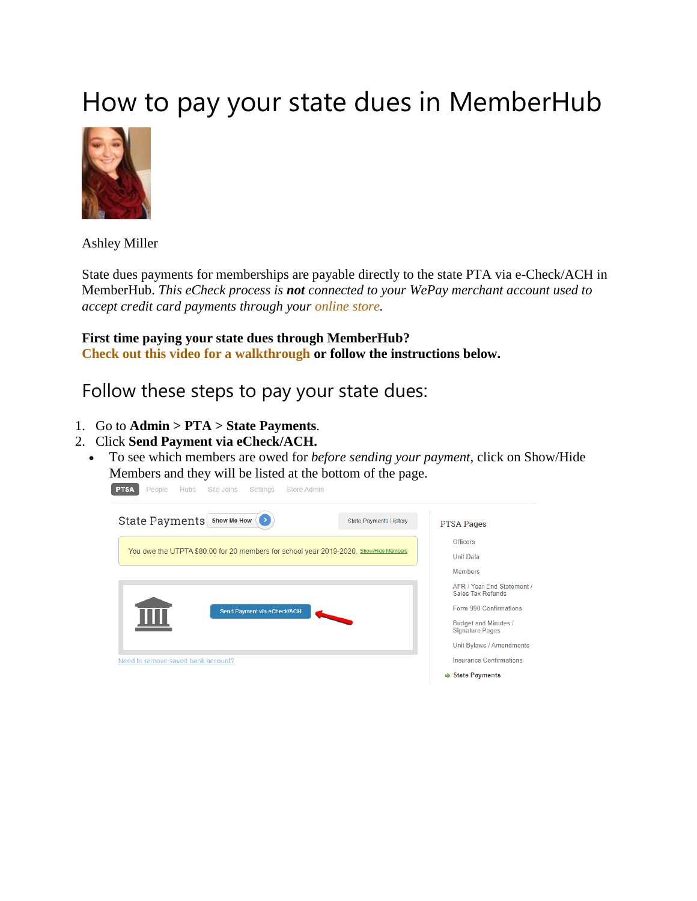## How to pay your state dues in MemberHub



Ashley Miller

State dues payments for memberships are payable directly to the state PTA via e-Check/ACH in MemberHub. *This eCheck process is not connected to your WePay merchant account used to accept credit card payments through your [online store.](https://support.memberhub.com/hc/en-us/sections/360001330554-The-Memberhub-Store-)*

**First time paying your state dues through MemberHub? [Check out this video for a walkthrough](https://youtu.be/0xwhMcyYmR0) or follow the instructions below.**

Follow these steps to pay your state dues:

- 1. Go to **Admin > PTA > State Payments**.
- 2. Click **Send Payment via eCheck/ACH.**
	- To see which members are owed for *before sending your payment*, click on Show/Hide Members and they will be listed at the bottom of the page.

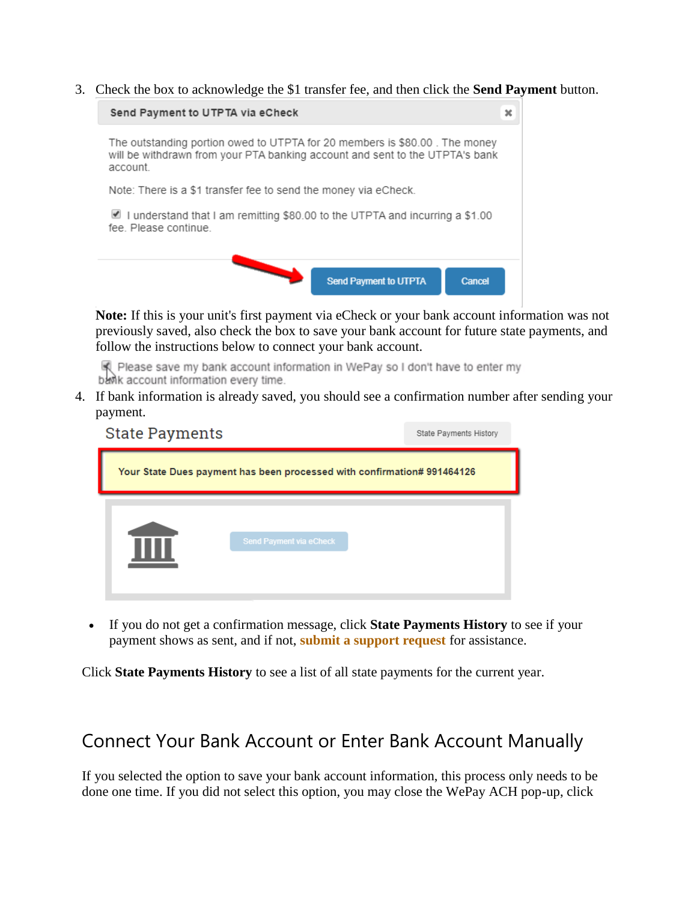3. Check the box to acknowledge the \$1 transfer fee, and then click the **Send Payment** button.



**Note:** If this is your unit's first payment via eCheck or your bank account information was not previously saved, also check the box to save your bank account for future state payments, and follow the instructions below to connect your bank account.

Please save my bank account information in WePay so I don't have to enter my bank account information every time.

4. If bank information is already saved, you should see a confirmation number after sending your payment.

| <b>State Payments</b> |                                                                         | State Payments History |
|-----------------------|-------------------------------------------------------------------------|------------------------|
|                       | Your State Dues payment has been processed with confirmation# 991464126 |                        |
|                       | <b>Send Payment via eCheck</b>                                          |                        |

 If you do not get a confirmation message, click **State Payments History** to see if your payment shows as sent, and if not, **[submit a support request](https://support.memberhub.com/hc/en-us/requests/new)** for assistance.

Click **State Payments History** to see a list of all state payments for the current year.

## Connect Your Bank Account or Enter Bank Account Manually

If you selected the option to save your bank account information, this process only needs to be done one time. If you did not select this option, you may close the WePay ACH pop-up, click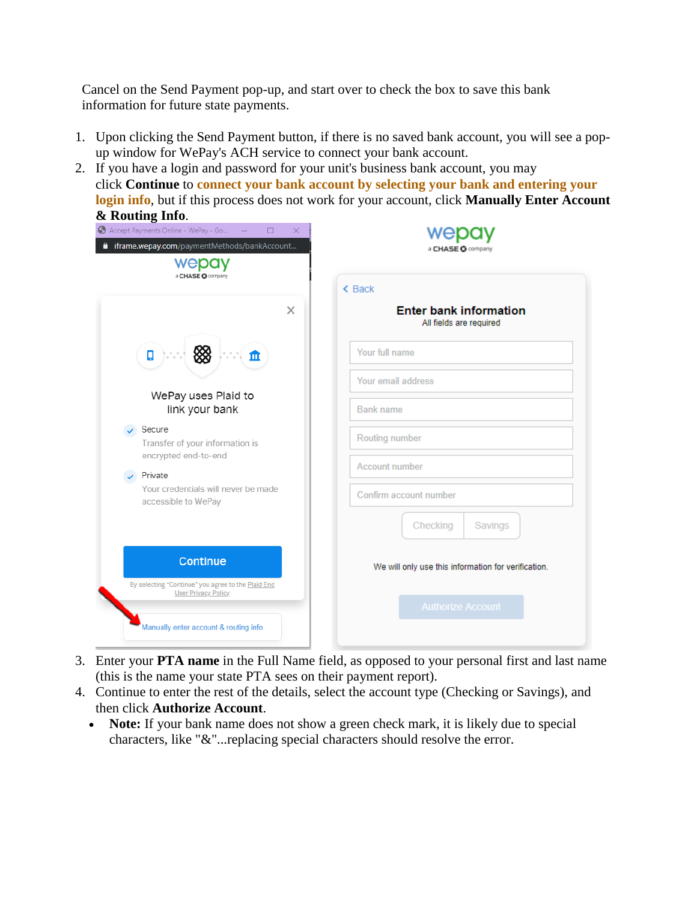Cancel on the Send Payment pop-up, and start over to check the box to save this bank information for future state payments.

- 1. Upon clicking the Send Payment button, if there is no saved bank account, you will see a popup window for WePay's ACH service to connect your bank account.
- 2. If you have a login and password for your unit's business bank account, you may click **Continue** to **[connect your bank account by selecting your bank and entering your](https://support.memberhub.com/hc/en-us/articles/360011869713)  [login info](https://support.memberhub.com/hc/en-us/articles/360011869713)**, but if this process does not work for your account, click **Manually Enter Account & Routing Info**.

| Accept Payments Online - WePay - Go<br>$\Box$<br>×<br>iframe.wepay.com/paymentMethods/bankAccount<br>wepay                                                                                                                     | a CHASE O company                                                                                                                                                                                                             |
|--------------------------------------------------------------------------------------------------------------------------------------------------------------------------------------------------------------------------------|-------------------------------------------------------------------------------------------------------------------------------------------------------------------------------------------------------------------------------|
| a CHASE O company<br>$\times$<br>ņ<br>血<br>WePay uses Plaid to<br>link your bank<br>Secure<br>Transfer of your information is<br>encrypted end-to-end<br>Private<br>Your credentials will never be made<br>accessible to WePay | $\triangle$ Back<br><b>Enter bank information</b><br>All fields are required<br>Your full name<br>Your email address<br><b>Bank name</b><br>Routing number<br>Account number<br>Confirm account number<br>Checking<br>Savings |
| <b>Continue</b><br>By selecting "Continue" you agree to the Plaid End<br>User Privacy Policy                                                                                                                                   | We will only use this information for verification.                                                                                                                                                                           |
| Manually enter account & routing info                                                                                                                                                                                          | <b>Authorize Account</b>                                                                                                                                                                                                      |

- 3. Enter your **PTA name** in the Full Name field, as opposed to your personal first and last name (this is the name your state PTA sees on their payment report).
- 4. Continue to enter the rest of the details, select the account type (Checking or Savings), and then click **Authorize Account**.
	- **Note:** If your bank name does not show a green check mark, it is likely due to special characters, like "&"...replacing special characters should resolve the error.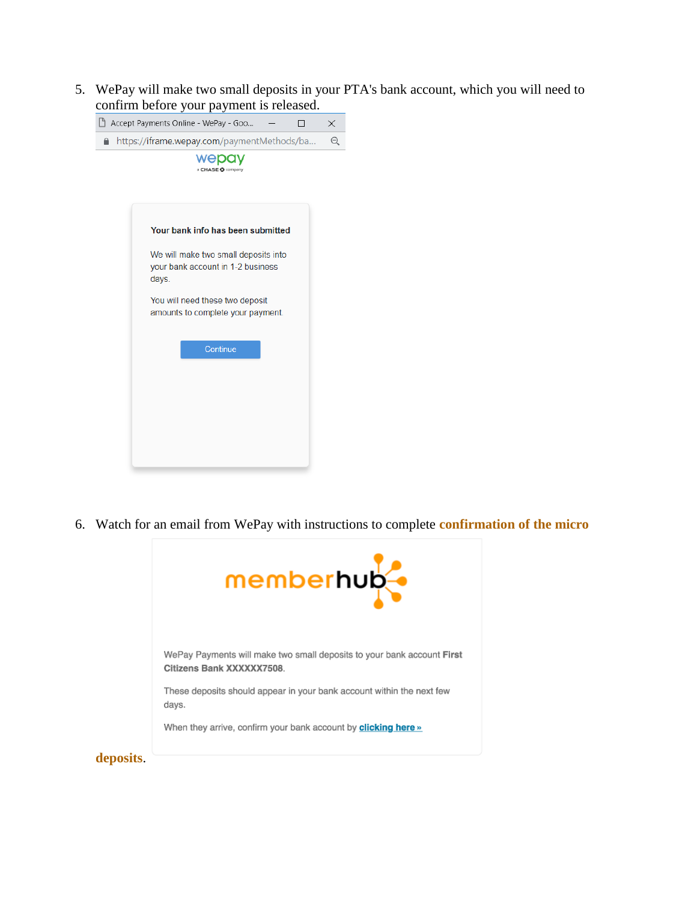5. WePay will make two small deposits in your PTA's bank account, which you will need to confirm before your payment is released.



6. Watch for an email from WePay with instructions to complete **[confirmation of the micro](https://support.memberhub.com/hc/en-us/articles/360035861193)** 

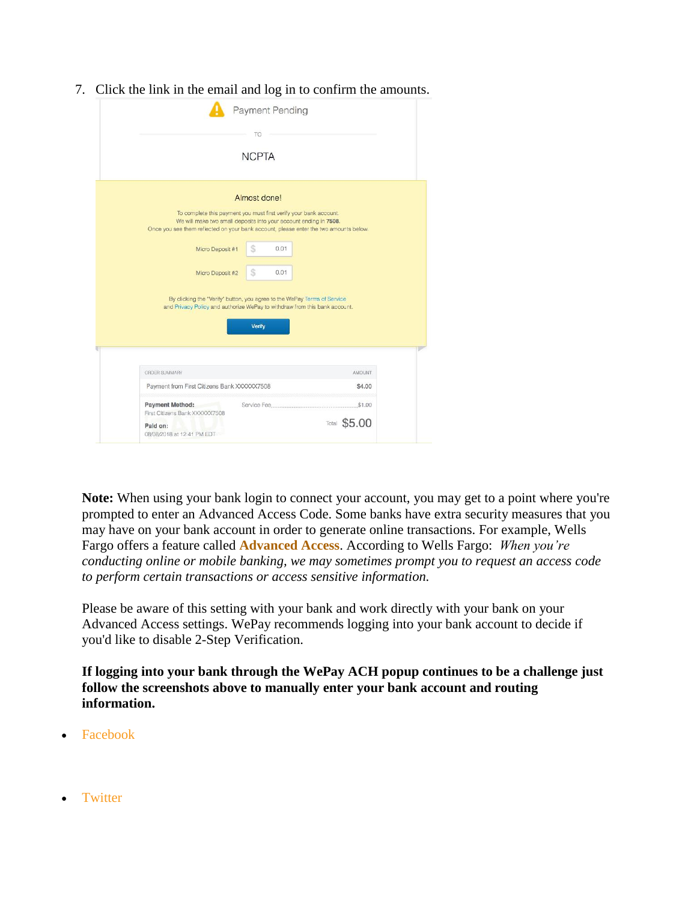7. Click the link in the email and log in to confirm the amounts.

|                                                          | <b>NCPTA</b>                                                                                                                                                                                                                    |
|----------------------------------------------------------|---------------------------------------------------------------------------------------------------------------------------------------------------------------------------------------------------------------------------------|
|                                                          | Almost done!                                                                                                                                                                                                                    |
|                                                          | To complete this payment you must first verify your bank account.<br>We will make two small deposits into your account ending in 7508.<br>Once you see them reflected on your bank account, please enter the two amounts below. |
| Micro Deposit #1                                         | S<br>0.01                                                                                                                                                                                                                       |
| Micro Deposit #2                                         | S<br>0.01                                                                                                                                                                                                                       |
|                                                          |                                                                                                                                                                                                                                 |
|                                                          | By clicking the "Verify" button, you agree to the WePay Terms of Service<br>and Privacy Policy and authorize WePay to withdraw from this bank account.                                                                          |
|                                                          | Verify                                                                                                                                                                                                                          |
| ORDER SUMMARY                                            | <b>AMOUNT</b>                                                                                                                                                                                                                   |
| Payment from First Citizens Bank XXXXXX7508              | \$4.00                                                                                                                                                                                                                          |
| <b>Payment Method:</b><br>First Citizens Bank XXXXXX7508 |                                                                                                                                                                                                                                 |

**Note:** When using your bank login to connect your account, you may get to a point where you're prompted to enter an Advanced Access Code. Some banks have extra security measures that you may have on your bank account in order to generate online transactions. For example, Wells Fargo offers a feature called **[Advanced Access](https://www.wellsfargo.com/privacy-security/advanced-access/)**. According to Wells Fargo: *When you're conducting online or mobile banking, we may sometimes prompt you to request an access code to perform certain transactions or access sensitive information.*

Please be aware of this setting with your bank and work directly with your bank on your Advanced Access settings. WePay recommends logging into your bank account to decide if you'd like to disable 2-Step Verification.

**If logging into your bank through the WePay ACH popup continues to be a challenge just follow the screenshots above to manually enter your bank account and routing information.**

- [Facebook](https://www.facebook.com/share.php?title=How+to+pay+your+state+dues+in+MemberHub&u=https%3A%2F%2Fsupport.memberhub.com%2Fhc%2Fen-us%2Farticles%2F360006895253-How-to-pay-your-state-dues-in-MemberHub)
- [Twitter](https://twitter.com/share?lang=en&text=How+to+pay+your+state+dues+in+MemberHub&url=https%3A%2F%2Fsupport.memberhub.com%2Fhc%2Fen-us%2Farticles%2F360006895253-How-to-pay-your-state-dues-in-MemberHub)